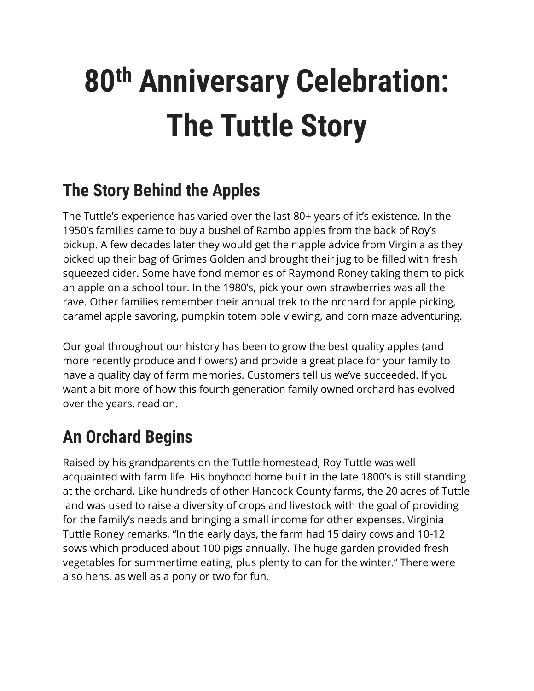# **80th Anniversary Celebration: The Tuttle Story**

#### **The Story Behind the Apples**

The Tuttle's experience has varied over the last 80+ years of it's existence. In the 1950's families came to buy a bushel of Rambo apples from the back of Roy's pickup. A few decades later they would get their apple advice from Virginia as they picked up their bag of Grimes Golden and brought their jug to be filled with fresh squeezed cider. Some have fond memories of Raymond Roney taking them to pick an apple on a school tour. In the 1980's, pick your own strawberries was all the rave. Other families remember their annual trek to the orchard for apple picking, caramel apple savoring, pumpkin totem pole viewing, and corn maze adventuring.

Our goal throughout our history has been to grow the best quality apples (and more recently produce and flowers) and provide a great place for your family to have a quality day of farm memories. Customers tell us we've succeeded. If you want a bit more of how this fourth generation family owned orchard has evolved over the years, read on.

# **An Orchard Begins**

Raised by his grandparents on the Tuttle homestead, Roy Tuttle was well acquainted with farm life. His boyhood home built in the late 1800's is still standing at the orchard. Like hundreds of other Hancock County farms, the 20 acres of Tuttle land was used to raise a diversity of crops and livestock with the goal of providing for the family's needs and bringing a small income for other expenses. Virginia Tuttle Roney remarks, "In the early days, the farm had 15 dairy cows and 10-12 sows which produced about 100 pigs annually. The huge garden provided fresh vegetables for summertime eating, plus plenty to can for the winter." There were also hens, as well as a pony or two for fun.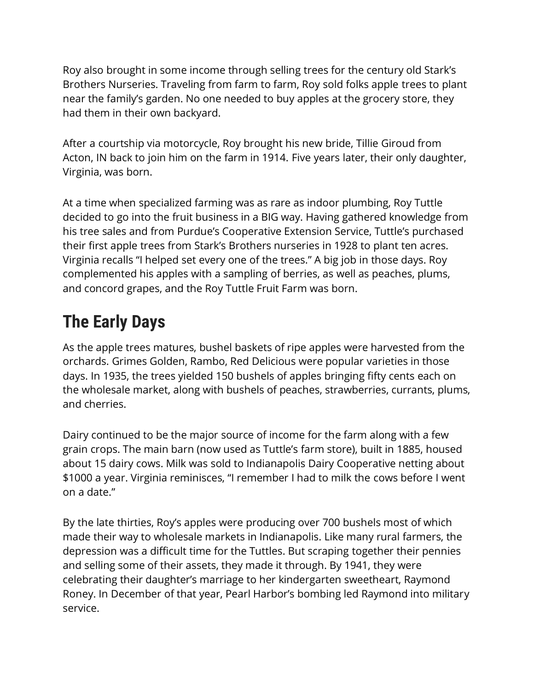Roy also brought in some income through selling trees for the century old Stark's Brothers Nurseries. Traveling from farm to farm, Roy sold folks apple trees to plant near the family's garden. No one needed to buy apples at the grocery store, they had them in their own backyard.

After a courtship via motorcycle, Roy brought his new bride, Tillie Giroud from Acton, IN back to join him on the farm in 1914. Five years later, their only daughter, Virginia, was born.

At a time when specialized farming was as rare as indoor plumbing, Roy Tuttle decided to go into the fruit business in a BIG way. Having gathered knowledge from his tree sales and from Purdue's Cooperative Extension Service, Tuttle's purchased their first apple trees from Stark's Brothers nurseries in 1928 to plant ten acres. Virginia recalls "I helped set every one of the trees." A big job in those days. Roy complemented his apples with a sampling of berries, as well as peaches, plums, and concord grapes, and the Roy Tuttle Fruit Farm was born.

## **The Early Days**

As the apple trees matures, bushel baskets of ripe apples were harvested from the orchards. Grimes Golden, Rambo, Red Delicious were popular varieties in those days. In 1935, the trees yielded 150 bushels of apples bringing fifty cents each on the wholesale market, along with bushels of peaches, strawberries, currants, plums, and cherries.

Dairy continued to be the major source of income for the farm along with a few grain crops. The main barn (now used as Tuttle's farm store), built in 1885, housed about 15 dairy cows. Milk was sold to Indianapolis Dairy Cooperative netting about \$1000 a year. Virginia reminisces, "I remember I had to milk the cows before I went on a date."

By the late thirties, Roy's apples were producing over 700 bushels most of which made their way to wholesale markets in Indianapolis. Like many rural farmers, the depression was a difficult time for the Tuttles. But scraping together their pennies and selling some of their assets, they made it through. By 1941, they were celebrating their daughter's marriage to her kindergarten sweetheart, Raymond Roney. In December of that year, Pearl Harbor's bombing led Raymond into military service.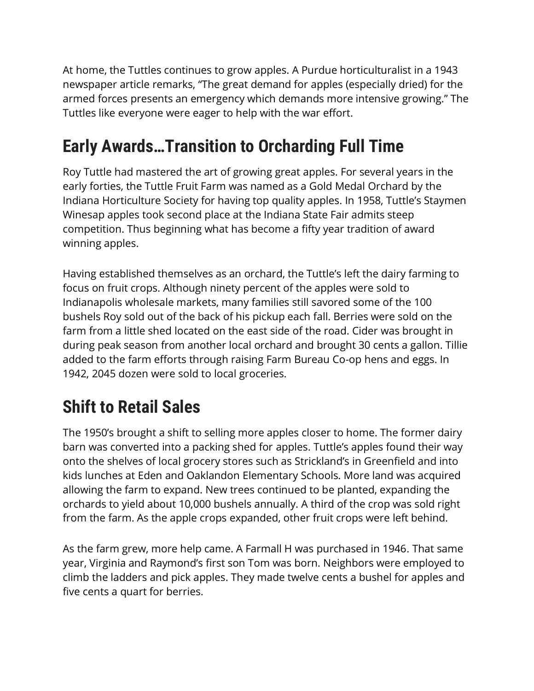At home, the Tuttles continues to grow apples. A Purdue horticulturalist in a 1943 newspaper article remarks, "The great demand for apples (especially dried) for the armed forces presents an emergency which demands more intensive growing." The Tuttles like everyone were eager to help with the war effort.

# **Early Awards…Transition to Orcharding Full Time**

Roy Tuttle had mastered the art of growing great apples. For several years in the early forties, the Tuttle Fruit Farm was named as a Gold Medal Orchard by the Indiana Horticulture Society for having top quality apples. In 1958, Tuttle's Staymen Winesap apples took second place at the Indiana State Fair admits steep competition. Thus beginning what has become a fifty year tradition of award winning apples.

Having established themselves as an orchard, the Tuttle's left the dairy farming to focus on fruit crops. Although ninety percent of the apples were sold to Indianapolis wholesale markets, many families still savored some of the 100 bushels Roy sold out of the back of his pickup each fall. Berries were sold on the farm from a little shed located on the east side of the road. Cider was brought in during peak season from another local orchard and brought 30 cents a gallon. Tillie added to the farm efforts through raising Farm Bureau Co-op hens and eggs. In 1942, 2045 dozen were sold to local groceries.

# **Shift to Retail Sales**

The 1950's brought a shift to selling more apples closer to home. The former dairy barn was converted into a packing shed for apples. Tuttle's apples found their way onto the shelves of local grocery stores such as Strickland's in Greenfield and into kids lunches at Eden and Oaklandon Elementary Schools. More land was acquired allowing the farm to expand. New trees continued to be planted, expanding the orchards to yield about 10,000 bushels annually. A third of the crop was sold right from the farm. As the apple crops expanded, other fruit crops were left behind.

As the farm grew, more help came. A Farmall H was purchased in 1946. That same year, Virginia and Raymond's first son Tom was born. Neighbors were employed to climb the ladders and pick apples. They made twelve cents a bushel for apples and five cents a quart for berries.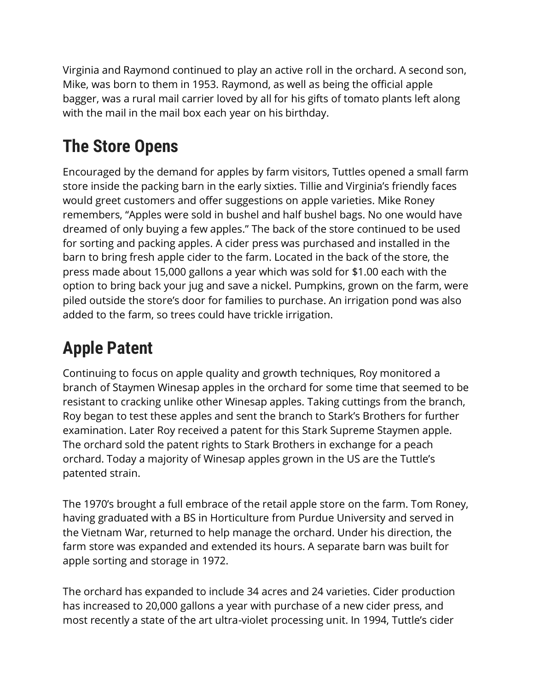Virginia and Raymond continued to play an active roll in the orchard. A second son, Mike, was born to them in 1953. Raymond, as well as being the official apple bagger, was a rural mail carrier loved by all for his gifts of tomato plants left along with the mail in the mail box each year on his birthday.

# **The Store Opens**

Encouraged by the demand for apples by farm visitors, Tuttles opened a small farm store inside the packing barn in the early sixties. Tillie and Virginia's friendly faces would greet customers and offer suggestions on apple varieties. Mike Roney remembers, "Apples were sold in bushel and half bushel bags. No one would have dreamed of only buying a few apples." The back of the store continued to be used for sorting and packing apples. A cider press was purchased and installed in the barn to bring fresh apple cider to the farm. Located in the back of the store, the press made about 15,000 gallons a year which was sold for \$1.00 each with the option to bring back your jug and save a nickel. Pumpkins, grown on the farm, were piled outside the store's door for families to purchase. An irrigation pond was also added to the farm, so trees could have trickle irrigation.

#### **Apple Patent**

Continuing to focus on apple quality and growth techniques, Roy monitored a branch of Staymen Winesap apples in the orchard for some time that seemed to be resistant to cracking unlike other Winesap apples. Taking cuttings from the branch, Roy began to test these apples and sent the branch to Stark's Brothers for further examination. Later Roy received a patent for this Stark Supreme Staymen apple. The orchard sold the patent rights to Stark Brothers in exchange for a peach orchard. Today a majority of Winesap apples grown in the US are the Tuttle's patented strain.

The 1970's brought a full embrace of the retail apple store on the farm. Tom Roney, having graduated with a BS in Horticulture from Purdue University and served in the Vietnam War, returned to help manage the orchard. Under his direction, the farm store was expanded and extended its hours. A separate barn was built for apple sorting and storage in 1972.

The orchard has expanded to include 34 acres and 24 varieties. Cider production has increased to 20,000 gallons a year with purchase of a new cider press, and most recently a state of the art ultra-violet processing unit. In 1994, Tuttle's cider